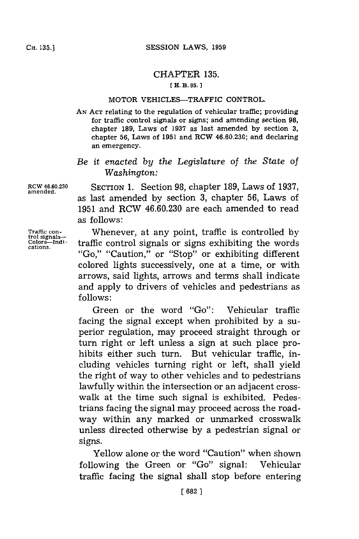## CHAPTER **135.**

## **E** H. B. **95.1**

## MOTOR VEHICLES-TRAFFIC CONTROL.

**AN ACT** relating to the regulation of vehicular traffic; providing for traffic control signals or signs; and amending section **98,** chapter **189,** Laws of **1937** as last amended **by** section **3,** chapter **56,** Laws of **1951** and RCW **46.60.230;** and declaring an emergency.

## *Be it enacted by the Legislature of the State of Washington:*

**RCW 46.60.230** SECTION **1.** Section **98,** chapter **189,** Laws of **1937, amended.** as last amended **by** section **3,** chapter **56,** Laws of **1951** and RCW 46.60.230 are each amended to read as follows:

Traffic con-<br> **trol signals-**<br> **traffic control signals or signs exhibiting the words**<br> **cations.** <br> **traffic control signals or signs exhibiting the words** "Go," "Caution," or "Stop" or exhibiting different colored lights successively, one at a time, or with arrows, said lights, arrows and terms shall indicate and apply to drivers of vehicles and pedestrians as **follows:**

> Green or the word "Go": Vehicular traffic facing the signal except when prohibited **by** a superior regulation, may proceed straight through or turn right or left unless a sign at such place prohibits either such turn. But vehicular traffic, including vehicles turning right or left, shall yield the right of way to other vehicles and to pedestrians lawfully within the intersection or an adjacent crosswalk at the time such signal is exhibited. Pedes-. trians facing the signal may proceed across the roadway within any marked or unmarked crosswalk unless directed otherwise **by** a pedestrian signal or signs.

> Yellow alone or the word "Caution" when shown following the Green or "Go" signal: Vehicular traffic facing the signal shall stop before entering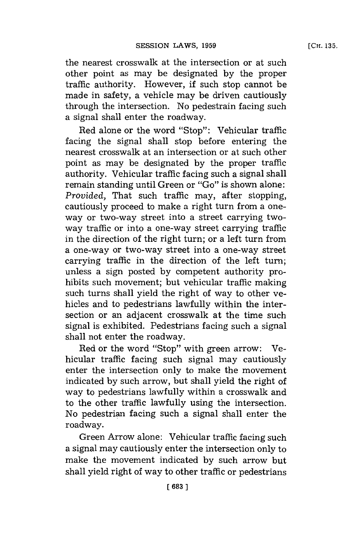the nearest crosswalk at the intersection or at such other point as may be designated **by** the proper traffic authority. However, if such stop cannot be made in safety, a vehicle may be driven cautiously through the intersection. No pedestrain facing such a signal shall enter the roadway.

Red alone or the word "Stop": Vehicular traffic facing the signal shall stop before entering the nearest crosswalk at an intersection or at such other point as may be designated **by** the proper traffic authority. Vehicular traffic facing such a signal shall remain standing until Green or "Go" is shown alone: *Provided*, That such traffic may, after stopping, cautiously proceed to make a right turn from a oneway or two-way street into a street carrying twoway traffic or into a one-way street carrying traffic in the direction of the right turn; or a left turn from a one-way or two-way street into a one-way street carrying traffic in the direction of the left turn; unless a sign posted **by** competent authority prohibits such movement; but vehicular traffic making such turns shall yield the right of way to other vehicles and to pedestrians lawfully within the intersection or an adjacent crosswalk at the time such signal is exhibited. Pedestrians facing such a signal shall not enter the roadway.

Red or the word "Stop" with green arrow: Vehicular traffic facing such signal may cautiously enter the intersection only to make the movement indicated **by** such arrow, but shall yield the right of way to pedestrians lawfully within a crosswalk and to the other traffic lawfully using the intersection. No pedestrian facing such a signal shall enter the roadway.

Green Arrow alone: Vehicular traffic facing such a signal may cautiously enter the intersection only to make the movement indicated **by** such arrow but shall yield right of way to other traffic or pedestrians